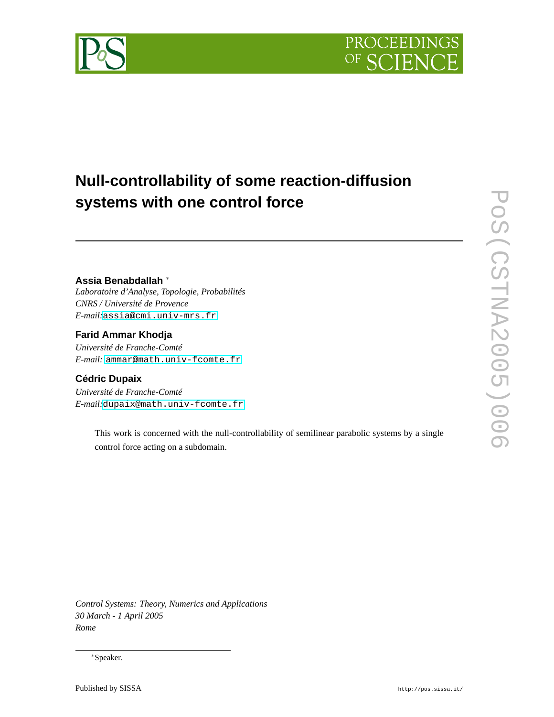

# **Null-controllability of some reaction-diffusion systems with one control force**

# **Assia Benabdallah** <sup>∗</sup>

*Laboratoire d'Analyse, Topologie, Probabilités CNRS / Université de Provence E-mail:*[assia@cmi.univ-mrs.fr](mailto:assia@cmi.univ-mrs.fr)

## **Farid Ammar Khodja**

*Université de Franche-Comté E-mail:* [ammar@math.univ-fcomte.fr](mailto:ammar@math.univ-fcomte.fr)

# **Cédric Dupaix**

*Université de Franche-Comté E-mail:*[dupaix@math.univ-fcomte.fr](mailto:dupaix@math.univ-fcomte.fr)

> This work is concerned with the null-controllability of semilinear parabolic systems by a single control force acting on a subdomain.

POS (CSTNA2005)006 PoS(CSTNA2005)006

*Control Systems: Theory, Numerics and Applications 30 March - 1 April 2005 Rome*

<sup>∗</sup>Speaker.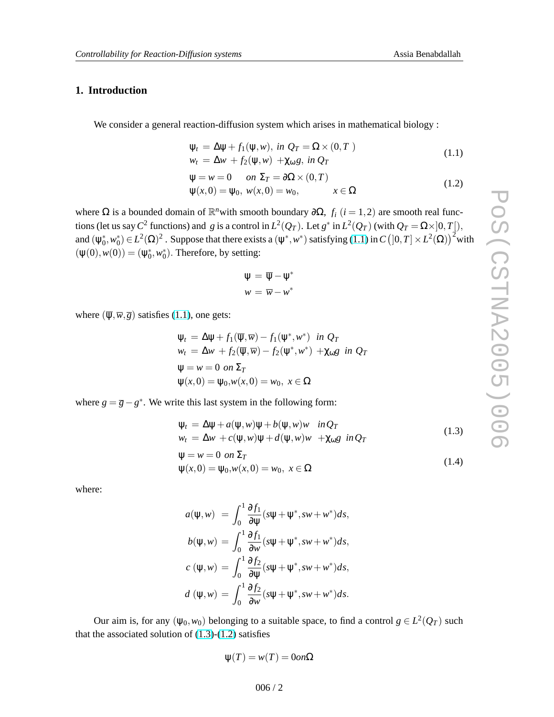# <span id="page-1-0"></span>**1. Introduction**

We consider a general reaction-diffusion system which arises in mathematical biology :

$$
\Psi_t = \Delta \Psi + f_1(\Psi, w), \text{ in } Q_T = \Omega \times (0, T)
$$
  
\n
$$
w_t = \Delta w + f_2(\Psi, w) + \chi_{\omega} g, \text{ in } Q_T
$$
\n(1.1)

$$
\Psi = w = 0 \quad on \ \Sigma_T = \partial \Omega \times (0, T)
$$
  

$$
\Psi(x, 0) = \Psi_0, \ w(x, 0) = w_0, \qquad x \in \Omega
$$
 (1.2)

where  $\Omega$  is a bounded domain of  $\mathbb{R}^n$  with smooth boundary  $\partial\Omega$ ,  $f_i$  ( $i = 1, 2$ ) are smooth real functions (let us say  $C^2$  functions) and *g* is a control in  $L^2(Q_T)$ . Let  $g^*$  in  $L^2(Q_T)$  (with  $Q_T = \Omega \times ]0, T[$ ), and  $(\psi_0^*, w_0^*) \in L^2(\Omega)^2$ . Suppose that there exists a  $(\psi^*, w^*)$  satisfying (1.1) in  $C([0, T] \times L^2(\Omega))^2$  with  $(\psi(0), \psi(0)) = (\psi_0^*, \psi_0^*)$ . Therefore, by setting:

$$
\Psi = \overline{\Psi} - \Psi^*
$$

$$
w = \overline{w} - w^*
$$

where  $(\overline{\psi}, \overline{w}, \overline{g})$  satisfies (1.1), one gets:

$$
\Psi_t = \Delta \Psi + f_1(\overline{\Psi}, \overline{w}) - f_1(\Psi^*, w^*) \text{ in } Q_T
$$
  
\n
$$
w_t = \Delta w + f_2(\overline{\Psi}, \overline{w}) - f_2(\Psi^*, w^*) + \chi_{\omega} g \text{ in } Q_T
$$
  
\n
$$
\Psi = w = 0 \text{ on } \Sigma_T
$$
  
\n
$$
\Psi(x, 0) = \Psi_0, w(x, 0) = w_0, x \in \Omega
$$

where  $g = \overline{g} - g^*$ . We write this last system in the following form:

$$
\Psi_t = \Delta \Psi + a(\Psi, w)\Psi + b(\Psi, w)w \quad in \mathcal{Q}_T
$$
\n(1.3)

$$
w_t = \Delta w + c(\psi, w)\psi + d(\psi, w)w + \chi_{\omega}g \text{ in } Q_T
$$
  
W = W = 0 or  $\Sigma \pi$ 

$$
\Psi = w = 0 \text{ on } \mathbb{Z}^T \n\Psi(x,0) = \Psi_0, w(x,0) = w_0, \ x \in \Omega
$$
\n(1.4)

where:

$$
a(\psi, w) = \int_0^1 \frac{\partial f_1}{\partial \psi} (s\psi + \psi^*, sw + w^*) ds,
$$
  
\n
$$
b(\psi, w) = \int_0^1 \frac{\partial f_1}{\partial w} (s\psi + \psi^*, sw + w^*) ds,
$$
  
\n
$$
c(\psi, w) = \int_0^1 \frac{\partial f_2}{\partial \psi} (s\psi + \psi^*, sw + w^*) ds,
$$
  
\n
$$
d(\psi, w) = \int_0^1 \frac{\partial f_2}{\partial w} (s\psi + \psi^*, sw + w^*) ds.
$$

Our aim is, for any  $(\psi_0, w_0)$  belonging to a suitable space, to find a control  $g \in L^2(Q_T)$  such that the associated solution of  $(1.3)-(1.2)$  satisfies

$$
\psi(T) = w(T) = 0 \text{ on } \Omega
$$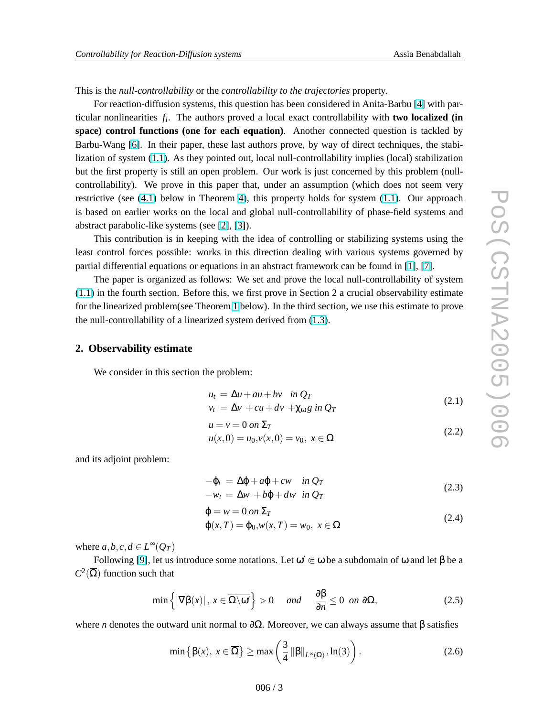<span id="page-2-0"></span>This is the *null-controllability* or the *controllability to the trajectories* property.

For reaction-diffusion systems, this question has been considered in Anita-Barbu [\[4\]](#page-7-0) with particular nonlinearities *f<sup>i</sup>* . The authors proved a local exact controllability with **two localized (in space) control functions (one for each equation)**. Another connected question is tackled by Barbu-Wang [\[6\]](#page-7-0). In their paper, these last authors prove, by way of direct techniques, the stabilization of system [\(1.1\)](#page-1-0). As they pointed out, local null-controllability implies (local) stabilization but the first property is still an open problem. Our work is just concerned by this problem (nullcontrollability). We prove in this paper that, under an assumption (which does not seem very restrictive (see [\(4.1\)](#page-6-0) below in Theorem [4\)](#page-6-0), this property holds for system [\(1.1\)](#page-1-0). Our approach is based on earlier works on the local and global null-controllability of phase-field systems and abstract parabolic-like systems (see [\[2\]](#page-7-0), [\[3\]](#page-7-0)).

This contribution is in keeping with the idea of controlling or stabilizing systems using the least control forces possible: works in this direction dealing with various systems governed by partial differential equations or equations in an abstract framework can be found in [\[1\]](#page-7-0), [\[7\]](#page-8-0).

The paper is organized as follows: We set and prove the local null-controllability of system [\(1.1\)](#page-1-0) in the fourth section. Before this, we first prove in Section 2 a crucial observability estimate for the linearized problem(see Theorem [1](#page-3-0) below). In the third section, we use this estimate to prove the null-controllability of a linearized system derived from [\(1.3\)](#page-1-0).

#### **2. Observability estimate**

We consider in this section the problem:

$$
u_t = \Delta u + au + bv \quad in \, Q_T
$$
  
\n
$$
v_t = \Delta v + cu + dv + \chi_{\omega} g \, in \, Q_T
$$
\n(2.1)

$$
u = v = 0 \text{ on } \Sigma_T \tag{2.2}
$$

$$
u(x,0) = u_0, v(x,0) = v_0, \ x \in \Omega
$$
\n(2.2)

and its adjoint problem:

$$
-\varphi_t = \Delta \varphi + a\varphi + cw \quad in \, Q_T \n-w_t = \Delta w + b\varphi + dw \quad in \, Q_T
$$
\n(2.3)

$$
\varphi = w = 0 \text{ on } \Sigma_T
$$
  
\n
$$
\varphi(x, T) = \varphi_0, w(x, T) = w_0, x \in \Omega
$$
\n(2.4)

where  $a, b, c, d \in L^{\infty}(Q_T)$ 

Following [\[9\]](#page-8-0), let us introduce some notations. Let  $\omega' \in \omega$  be a subdomain of  $\omega$  and let  $\beta$  be a  $C^2(\overline{\Omega})$  function such that

$$
\min\left\{|\nabla\beta(x)|\,,\,x\in\overline{\Omega\setminus\omega'}\right\}>0\quad\text{and}\quad\frac{\partial\beta}{\partial n}\leq 0\text{ on }\partial\Omega,\tag{2.5}
$$

where *n* denotes the outward unit normal to  $\partial\Omega$ . Moreover, we can always assume that  $\beta$  satisfies

$$
\min\left\{\beta(x),\,x\in\overline{\Omega}\right\} \ge \max\left(\frac{3}{4}\left\|\beta\right\|_{L^{\infty}(\Omega)},\ln(3)\right). \tag{2.6}
$$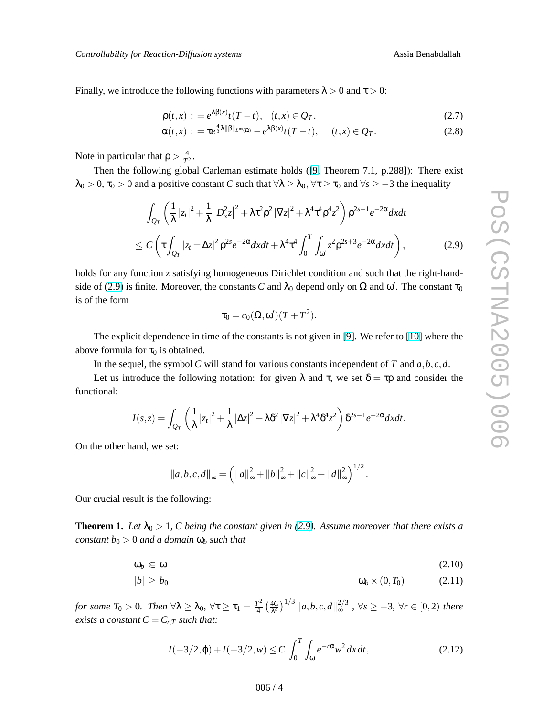<span id="page-3-0"></span>Finally, we introduce the following functions with parameters  $\lambda > 0$  and  $\tau > 0$ :

$$
\rho(t,x) := e^{\lambda \beta(x)} t(T-t), \quad (t,x) \in Q_T,
$$
\n(2.7)

$$
\alpha(t,x) := \tau e^{\frac{4}{3}\lambda \|\beta\|_{L^{\infty}(\Omega)}} - e^{\lambda \beta(x)} t(T-t), \quad (t,x) \in Q_T.
$$
 (2.8)

Note in particular that  $\rho > \frac{4}{T}$  $rac{4}{T^2}$ .

Then the following global Carleman estimate holds ([\[9,](#page-8-0) Theorem 7.1, p.288]): There exist  $\lambda_0 > 0$ ,  $\tau_0 > 0$  and a positive constant *C* such that  $\forall \lambda \geq \lambda_0$ ,  $\forall \tau \geq \tau_0$  and  $\forall s \geq -3$  the inequality

$$
\int_{Q_T} \left( \frac{1}{\lambda} |z_t|^2 + \frac{1}{\lambda} |D_x^2 z|^2 + \lambda \tau^2 \rho^2 |\nabla z|^2 + \lambda^4 \tau^4 \rho^4 z^2 \right) \rho^{2s-1} e^{-2\alpha} dx dt
$$
\n
$$
\leq C \left( \tau \int_{Q_T} |z_t \pm \Delta z|^2 \rho^{2s} e^{-2\alpha} dx dt + \lambda^4 \tau^4 \int_0^T \int_{\omega'} z^2 \rho^{2s+3} e^{-2\alpha} dx dt \right),
$$
\n(2.9)

holds for any function *z* satisfying homogeneous Dirichlet condition and such that the right-handside of (2.9) is finite. Moreover, the constants *C* and  $\lambda_0$  depend only on  $\Omega$  and  $\omega'$ . The constant  $\tau_0$ is of the form

$$
\tau_0 = c_0(\Omega, \omega')(T + T^2).
$$

The explicit dependence in time of the constants is not given in [\[9\]](#page-8-0). We refer to [\[10\]](#page-8-0) where the above formula for  $\tau_0$  is obtained.

In the sequel, the symbol *C* will stand for various constants independent of *T* and *a*,*b*,*c*,*d*.

Let us introduce the following notation: for given  $\lambda$  and  $\tau$ , we set  $\delta = \tau \rho$  and consider the functional:

$$
I(s,z) = \int_{Q_T} \left( \frac{1}{\lambda} |z_t|^2 + \frac{1}{\lambda} |\Delta z|^2 + \lambda \delta^2 |\nabla z|^2 + \lambda^4 \delta^4 z^2 \right) \delta^{2s-1} e^{-2\alpha} dx dt.
$$

On the other hand, we set:

$$
||a,b,c,d||_{\infty} = \left(||a||_{\infty}^{2} + ||b||_{\infty}^{2} + ||c||_{\infty}^{2} + ||d||_{\infty}^{2}\right)^{1/2}.
$$

Our crucial result is the following:

**Theorem 1.** Let  $\lambda_0 > 1$ , C being the constant given in (2.9). Assume moreover that there exists a *constant*  $b_0 > 0$  *and a domain*  $\omega_b$  *such that* 

$$
\omega_b \in \omega \tag{2.10}
$$

$$
|b| \ge b_0 \qquad \qquad \omega_b \times (0, T_0) \qquad \qquad (2.11)
$$

*for some*  $T_0 > 0$ *. Then*  $\forall \lambda \geq \lambda_0$ ,  $\forall \tau \geq \tau_1 = \frac{T^2}{4}$ 4  $(4C)$  $λ<sup>4</sup>$  $\int_0^{1/3}$   $||a,b,c,d||_{\infty}^{2/3}$  $\int_{\infty}^{\frac{2}{3}}$ ,  $\forall s \geq -3$ ,  $\forall r \in [0,2)$  *there exists a constant*  $C = C_{r,T}$  *such that:* 

$$
I(-3/2, \varphi) + I(-3/2, w) \le C \int_0^T \int_{\omega} e^{-r\alpha} w^2 dx dt,
$$
 (2.12)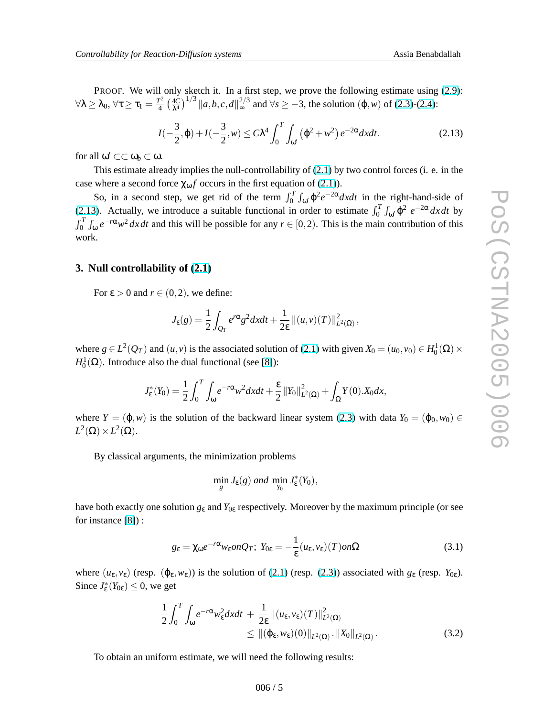<span id="page-4-0"></span>PROOF. We will only sketch it. In a first step, we prove the following estimate using  $(2.9)$ :  $\forall \lambda \geq \lambda_0, \, \forall \tau \geq \tau_1 = \frac{T^2}{4}$ 4 ¡ 4*C*  $λ<sup>4</sup>$  $\int_1^{1/3}$  ||a, b, c, d||<sup>2/3</sup>  $\frac{2}{\infty}$  and ∀*s* ≥ −3, the solution (φ,*w*) of [\(2.3\)](#page-2-0)-[\(2.4\)](#page-2-0):

$$
I(-\frac{3}{2}, \varphi) + I(-\frac{3}{2}, w) \le C\lambda^4 \int_0^T \int_{\omega'} (\varphi^2 + w^2) e^{-2\alpha} dx dt.
$$
 (2.13)

for all  $\omega' \subset\subset \omega_b \subset \omega$ .

This estimate already implies the null-controllability of [\(2.1\)](#page-2-0) by two control forces (i. e. in the case where a second force  $\chi_{\omega} f$  occurs in the first equation of [\(2.1\)](#page-2-0)).

So, in a second step, we get rid of the term  $\int_0^T$  $\int_{\omega} \varphi^2 e^{-2\alpha} dxdt$  in the right-hand-side of (2.13). Actually, we introduce a suitable functional in order to estimate  $\int_0^T \int_{\omega'} \varphi^2 e^{-2\alpha} dx dt$  by  $\frac{1}{r^T}$  $\int_0^T \int_{\omega} e^{-r\alpha} w^2 dx dt$  and this will be possible for any  $r \in [0,2)$ . This is the main contribution of this work.

#### **3. Null controllability of [\(2.1\)](#page-2-0)**

For  $\epsilon > 0$  and  $r \in (0, 2)$ , we define:

$$
J_{\varepsilon}(g) = \frac{1}{2} \int_{Q_T} e^{r\alpha} g^2 dx dt + \frac{1}{2\varepsilon} ||(u, v)(T)||^2_{L^2(\Omega)},
$$

where  $g \in L^2(Q_T)$  and  $(u, v)$  is the associated solution of [\(2.1\)](#page-2-0) with given  $X_0 = (u_0, v_0) \in H_0^1(\Omega) \times$  $H_0^1(\Omega)$ . Introduce also the dual functional (see [\[8\]](#page-8-0)):

$$
J_{\varepsilon}^{*}(Y_{0}) = \frac{1}{2} \int_{0}^{T} \int_{\omega} e^{-r\alpha} w^{2} dx dt + \frac{\varepsilon}{2} ||Y_{0}||^{2}_{L^{2}(\Omega)} + \int_{\Omega} Y(0) . X_{0} dx,
$$

where  $Y = (\varphi, w)$  is the solution of the backward linear system [\(2.3\)](#page-2-0) with data  $Y_0 = (\varphi_0, w_0) \in$  $L^2(\Omega) \times L^2(\Omega)$ .

By classical arguments, the minimization problems

$$
\min_{g} J_{\varepsilon}(g) \text{ and } \min_{Y_0} J_{\varepsilon}^*(Y_0),
$$

have both exactly one solution *g*<sup>ε</sup> and *Y*0<sup>ε</sup> respectively. Moreover by the maximum principle (or see for instance [\[8\]](#page-8-0)) :

$$
g_{\varepsilon} = \chi_{\omega} e^{-r\alpha} w_{\varepsilon} on Q_T; \ Y_{0\varepsilon} = -\frac{1}{\varepsilon} (u_{\varepsilon}, v_{\varepsilon}) (T) on \Omega \tag{3.1}
$$

where  $(u_{\varepsilon}, v_{\varepsilon})$  (resp.  $(\varphi_{\varepsilon}, w_{\varepsilon})$ ) is the solution of [\(2.1\)](#page-2-0) (resp. [\(2.3\)](#page-2-0)) associated with  $g_{\varepsilon}$  (resp.  $Y_{0\varepsilon}$ ). Since  $J_{\varepsilon}^*(Y_{0\varepsilon}) \leq 0$ , we get

$$
\frac{1}{2} \int_0^T \int_{\omega} e^{-r\alpha} w_{\varepsilon}^2 dxdt + \frac{1}{2\varepsilon} \| (u_{\varepsilon}, v_{\varepsilon})(T) \|_{L^2(\Omega)}^2 \leq \| (\varphi_{\varepsilon}, w_{\varepsilon})(0) \|_{L^2(\Omega)} \cdot \| X_0 \|_{L^2(\Omega)}.
$$
\n(3.2)

To obtain an uniform estimate, we will need the following results: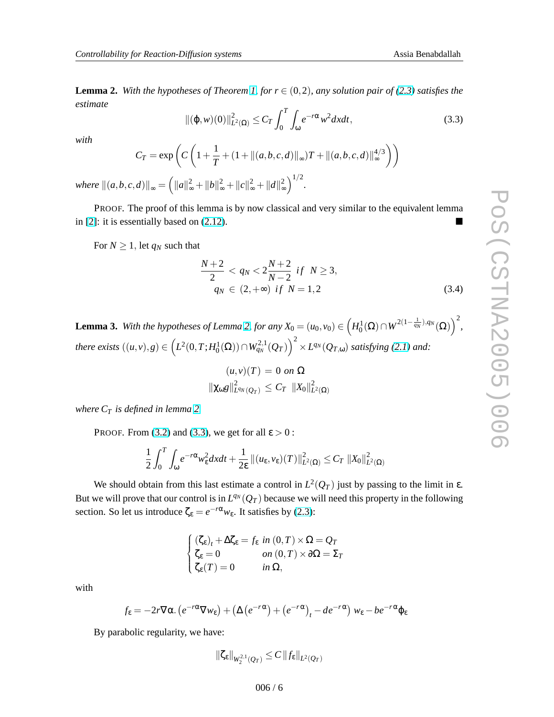*,*

<span id="page-5-0"></span>**Lemma 2.** *With the hypotheses of Theorem [1,](#page-3-0) for*  $r \in (0,2)$ *, any solution pair of* [\(2.3\)](#page-2-0) *satisfies the estimate*

$$
\|(\varphi, w)(0)\|_{L^2(\Omega)}^2 \le C_T \int_0^T \int_{\omega} e^{-r\alpha} w^2 dx dt,
$$
\n(3.3)

*with*

 $where$ 

$$
C_T = \exp\left(C\left(1 + \frac{1}{T} + (1 + \|(a, b, c, d)\|_{\infty})T + \|(a, b, c, d)\|_{\infty}^{4/3}\right)\right)
$$

$$
\|(a, b, c, d)\|_{\infty} = \left(\|a\|_{\infty}^2 + \|b\|_{\infty}^2 + \|c\|_{\infty}^2 + \|d\|_{\infty}^2\right)^{1/2}.
$$

PROOF. The proof of this lemma is by now classical and very similar to the equivalent lemma in [\[2\]](#page-7-0): it is essentially based on  $(2.12)$ .

For  $N \geq 1$ , let  $q_N$  such that

$$
\frac{N+2}{2} < q_N < 2\frac{N+2}{N-2} \text{ if } N \ge 3, \\
q_N < (2, +\infty) \text{ if } N = 1, 2 \tag{3.4}
$$

**Lemma 3.** With the hypotheses of Lemma 2, for any  $X_0 = (u_0, v_0) \in$  $\overline{a}$  $H_0^1(\Omega)\cap W^{2(1-\frac{1}{q_N}),q_N}(\Omega)$  $\sqrt{2}$ there exists  $((u,v),g) \in (L^2(0,T;H_0^1(\Omega)) \cap W_{q_N}^{2,1}(Q_T))^{2} \times L^{q_N}(Q_{T, \omega})$  satisfying [\(2.1\)](#page-2-0) and:  $\left(2\right)$   $\frac{1}{2}$  $(\mu, \nu)(T) = 0$  *on*  $\Omega$ 

$$
\|\chi_{\omega}g\|_{L^{q_N}(Q_T)}^2 \leq C_T \|\chi_0\|_{L^2(\Omega)}^2
$$

*where C<sup>T</sup> is defined in lemma 2.*

PROOF. From [\(3.2\)](#page-4-0) and (3.3), we get for all  $\varepsilon > 0$ :

$$
\frac{1}{2}\int_0^T \int_{\omega} e^{-r\alpha}w_{\varepsilon}^2 dxdt + \frac{1}{2\varepsilon} \left\|(u_{\varepsilon},v_{\varepsilon})(T)\right\|_{L^2(\Omega)}^2 \leq C_T \left\|X_0\right\|_{L^2(\Omega)}^2
$$

We should obtain from this last estimate a control in  $L^2(Q_T)$  just by passing to the limit in  $\varepsilon$ . But we will prove that our control is in  $L^{q_N}(Q_T)$  because we will need this property in the following section. So let us introduce  $\zeta_{\epsilon} = e^{-r\alpha} w_{\epsilon}$ . It satisfies by [\(2.3\)](#page-2-0):

$$
\begin{cases}\n(\zeta_{\varepsilon})_t + \Delta \zeta_{\varepsilon} = f_{\varepsilon} \text{ in } (0, T) \times \Omega = Q_T \\
\zeta_{\varepsilon} = 0 & \text{ on } (0, T) \times \partial \Omega = \Sigma_T \\
\zeta_{\varepsilon}(T) = 0 & \text{ in } \Omega,\n\end{cases}
$$

with

$$
f_{\varepsilon} = -2r \nabla \alpha. (e^{-r\alpha} \nabla w_{\varepsilon}) + (\Delta (e^{-r\alpha}) + (e^{-r\alpha})_t - de^{-r\alpha}) w_{\varepsilon} - be^{-r\alpha} \varphi_{\varepsilon}
$$

By parabolic regularity, we have:

$$
\|\zeta_{\varepsilon}\|_{W_2^{2,1}(Q_T)} \leq C \|f_{\varepsilon}\|_{L^2(Q_T)}
$$

 $006/6$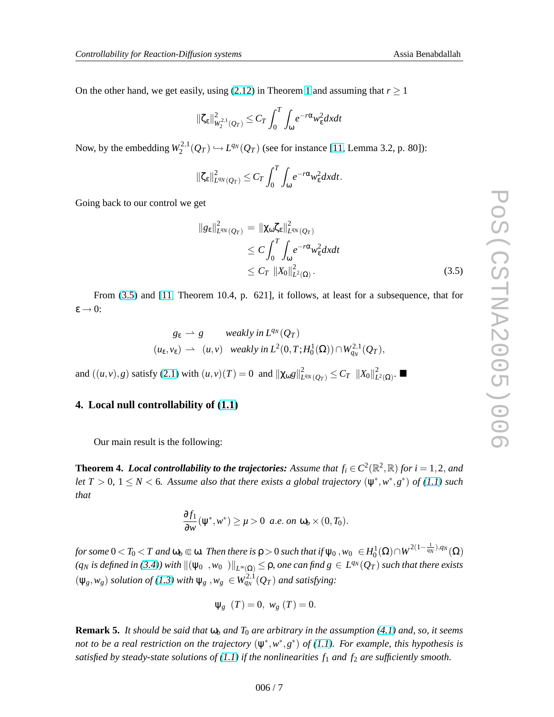<span id="page-6-0"></span>On the other hand, we get easily, using  $(2.12)$  $(2.12)$  $(2.12)$  in Theorem 1 and assuming that  $r \ge 1$ 

$$
\|\zeta_{\varepsilon}\|_{W_2^{2,1}(Q_T)}^2 \leq C_T \int_0^T \int_{\omega} e^{-r\alpha} w_{\varepsilon}^2 dxdt
$$

Now, by the embedding *W* 2,1  $L_2^{2,1}(Q_T)$  ↔ *L*<sup>q</sup><sup>*N*</sup> ( $Q_T$ ) (see for instance [\[11,](#page-8-0) Lemma 3.2, p. 80]):

$$
\|\zeta_{\varepsilon}\|_{L^{q_N}(Q_T)}^2 \leq C_T \int_0^T \int_{\omega} e^{-r\alpha} w_{\varepsilon}^2 dxdt.
$$

Going back to our control we get

$$
||g_{\varepsilon}||_{L^{q_N}(Q_T)}^2 = ||\chi_{\omega}\zeta_{\varepsilon}||_{L^{q_N}(Q_T)}^2
$$
  
\n
$$
\leq C \int_0^T \int_{\omega} e^{-r\alpha} w_{\varepsilon}^2 dxdt
$$
  
\n
$$
\leq C_T ||X_0||_{L^2(\Omega)}^2.
$$
\n(3.5)

From (3.5) and [\[11,](#page-8-0) Theorem 10.4, p. 621], it follows, at least for a subsequence, that for ε → 0:

$$
g_{\varepsilon} \rightharpoonup g \qquad weakly in L^{q_N}(Q_T)
$$
  

$$
(u_{\varepsilon}, v_{\varepsilon}) \rightharpoonup (u, v) \quad weakly in L^{2}(0, T; H_0^1(\Omega)) \cap W_{q_N}^{2,1}(Q_T),
$$

and  $((u, v), g)$  satisfy [\(2.1\)](#page-2-0) with  $(u, v)(T) = 0$  and  $\|\chi_{\omega}g\|_{L}^{2}$  $\frac{2}{L^{q_N}(Q_T)} \leq C_T \; \; \|X_0\|_L^2$  $L^2(Ω)$ .  $\blacksquare$ 

### **4. Local null controllability of [\(1.1\)](#page-1-0)**

Our main result is the following:

**Theorem 4.** *Local controllability to the trajectories: Assume that*  $f_i \in C^2(\mathbb{R}^2, \mathbb{R})$  *for*  $i = 1, 2$ , and *let*  $T > 0$ ,  $1 \leq N < 6$ . Assume also that there exists a global trajectory  $(\psi^*, w^*, g^*)$  of [\(1.1\)](#page-1-0) such *that*

$$
\frac{\partial f_1}{\partial w}(\psi^*, w^*) \ge \mu > 0 \ \ a.e. \ on \ \omega_b \times (0, T_0).
$$

 $f$ or some  $0 < T_0 < T$  and  $\omega_b \Subset \omega$ . Then there is  $\rho > 0$  such that if  $\psi_0$  ,  $w_0~\in H_0^1(\Omega) \cap W^{2(1-\frac{1}{q_N}),q_N}(\Omega)$  $(q_N$  *is defined in [\(3.4\)](#page-5-0)) with*  $\|(\psi_0, w_0) \|_{L^\infty(\Omega)} \leq \rho$ *, one can find*  $g \in L^{q_N}(Q_T)$  *such that there exists*  $(\psi_g, w_g)$  *solution of* [\(1.3\)](#page-1-0) *with*  $\psi_g$  ,  $w_g \in W_{q_N}^{2,1}(Q_T)$  *and satisfying:* 

$$
\Psi_g
$$
 (T) = 0,  $w_g$  (T) = 0.

**Remark 5.** *It should be said that* ω*<sup>b</sup> and T*<sup>0</sup> *are arbitrary in the assumption (4.1) and, so, it seems not to be a real restriction on the trajectory* (ψ ∗ ,*w* ∗ ,*g* ∗ ) *of [\(1.1\)](#page-1-0). For example, this hypothesis is satisfied by steady-state solutions of [\(1.1\)](#page-1-0) if the nonlinearities f*<sup>1</sup> *and f*<sup>2</sup> *are sufficiently smooth.*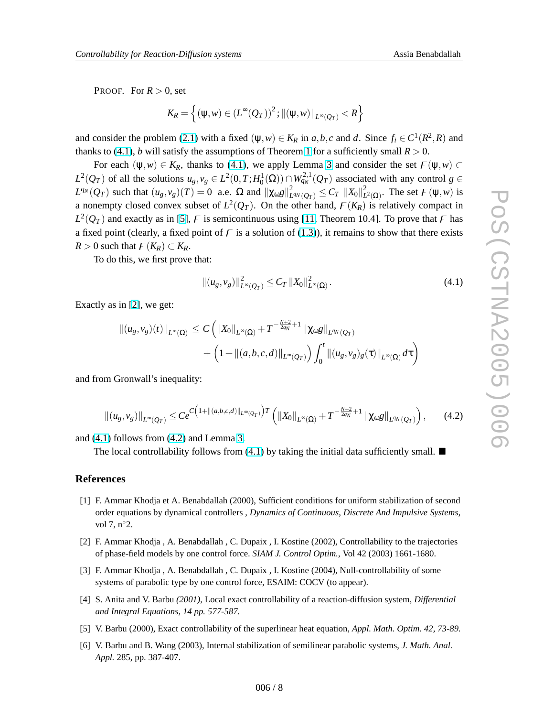<span id="page-7-0"></span>PROOF. For  $R > 0$ , set

$$
K_R = \left\{ (\psi, w) \in (L^{\infty}(Q_T))^2; ||(\psi, w)||_{L^{\infty}(Q_T)} < R \right\}
$$

and consider the problem [\(2.1\)](#page-2-0) with a fixed  $(\psi, w) \in K_R$  in  $a, b, c$  and  $d$ . Since  $f_i \in C^1(R^2, R)$  and thanks to [\(4.1\)](#page-6-0), *b* will satisfy the assumptions of Theorem [1](#page-3-0) for a sufficiently small  $R > 0$ .

For each  $(\psi, w) \in K_R$ , thanks to [\(4.1\)](#page-6-0), we apply Lemma [3](#page-5-0) and consider the set  $F(\psi, w) \subset$  $L^2(Q_T)$  of all the solutions  $u_g, v_g \in L^2(0,T;H_0^1(\Omega)) \cap W_{q_N}^{2,1}(Q_T)$  associated with any control  $g \in$  $L^{q_N}(Q_T)$  such that  $(u_g, v_g)(T) = 0$  a.e.  $\Omega$  and  $\|\chi_{\omega}g\|_{L}^2$  $\frac{2}{L^{q_N}(Q_T)} \leq C_T \, \left\| X_0 \right\|_L^2$  $L^2(\Omega)$ . The set  $\mathcal{F}(\Psi, w)$  is a nonempty closed convex subset of  $L^2(Q_T)$ . On the other hand,  $F(K_R)$  is relatively compact in  $L^2(Q_T)$  and exactly as in [5], F is semicontinuous using [\[11,](#page-8-0) Theorem 10.4]. To prove that F has a fixed point (clearly, a fixed point of  $\overline{F}$  is a solution of [\(1.3\)](#page-1-0)), it remains to show that there exists *R* > 0 such that  $F(K_R)$  ⊂  $K_R$ .

To do this, we first prove that:

$$
||(u_g, v_g)||_{L^{\infty}(Q_T)}^2 \leq C_T ||X_0||_{L^{\infty}(\Omega)}^2.
$$
\n(4.1)

Exactly as in [2], we get:

$$
\begin{aligned} \|(u_g, v_g)(t)\|_{L^{\infty}(\Omega)} &\leq C \left( \|X_0\|_{L^{\infty}(\Omega)} + T^{-\frac{N+2}{2q_N}+1} \|\chi_{\omega}g\|_{L^{q_N}(Q_T)} \right. \\ &\left. + \left( 1 + \|(a, b, c, d)\|_{L^{\infty}(Q_T)} \right) \int_0^t \|(u_g, v_g)_g(\tau)\|_{L^{\infty}(\Omega)} d\tau \right) \end{aligned}
$$

and from Gronwall's inequality:

$$
\left\| (u_g, v_g) \right\|_{L^\infty(Q_T)} \leq Ce^{C\left(1 + \left\| (a, b, c, d) \right\|_{L^\infty(Q_T)}\right) T} \left( \left\| X_0 \right\|_{L^\infty(\Omega)} + T^{-\frac{N+2}{2q_N} + 1} \left\| \chi_{\omega} g \right\|_{L^{q_N}(Q_T)} \right), \tag{4.2}
$$

and (4.1) follows from (4.2) and Lemma [3.](#page-5-0)

The local controllability follows from  $(4.1)$  by taking the initial data sufficiently small.  $\blacksquare$ 

#### **References**

- [1] F. Ammar Khodja et A. Benabdallah (2000), Sufficient conditions for uniform stabilization of second order equations by dynamical controllers , *Dynamics of Continuous, Discrete And Impulsive Systems*, vol 7, n°2.
- [2] F. Ammar Khodja , A. Benabdallah , C. Dupaix , I. Kostine (2002), Controllability to the trajectories of phase-field models by one control force. *SIAM J. Control Optim.*, Vol 42 (2003) 1661-1680.
- [3] F. Ammar Khodja , A. Benabdallah , C. Dupaix , I. Kostine (2004), Null-controllability of some systems of parabolic type by one control force, ESAIM: COCV (to appear).
- [4] S. Anita and V. Barbu *(2001)*, Local exact controllability of a reaction-diffusion system, *Differential and Integral Equations, 14 pp. 577-587.*
- [5] V. Barbu (2000), Exact controllability of the superlinear heat equation, *Appl. Math. Optim. 42, 73-89.*
- [6] V. Barbu and B. Wang (2003), Internal stabilization of semilinear parabolic systems, *J. Math. Anal. Appl.* 285, pp. 387-407.